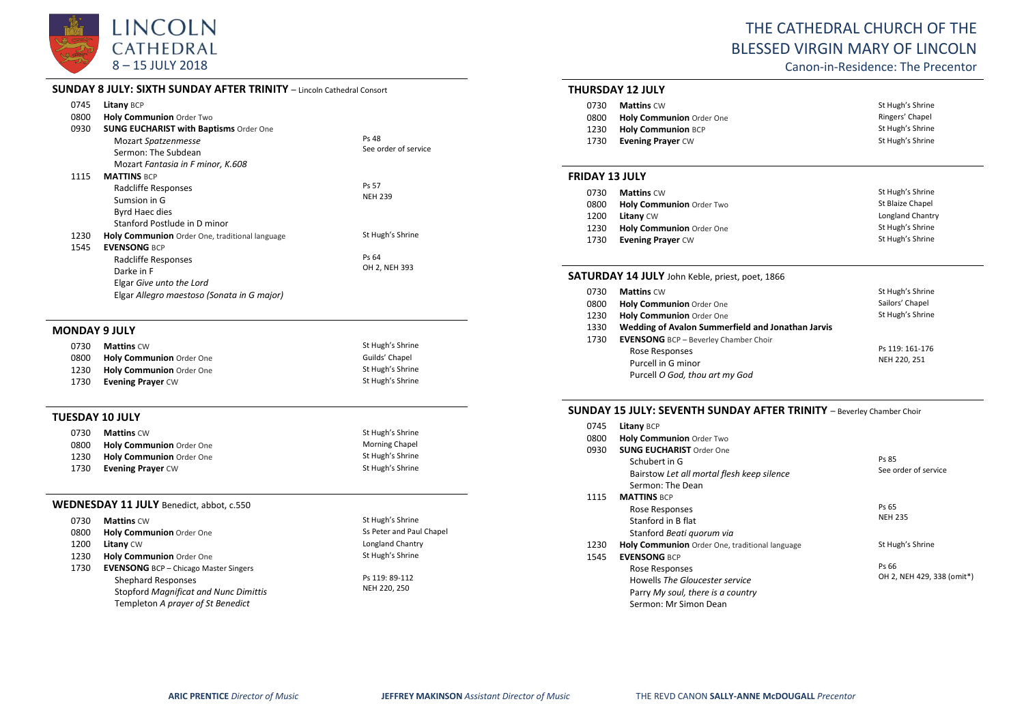

## **SUNDAY 8 JULY: SIXTH SUNDAY AFTER TRINITY** – Lincoln Cathedral Consort

| 0745 | Litany BCP                                            |                      |
|------|-------------------------------------------------------|----------------------|
| 0800 | <b>Holy Communion Order Two</b>                       |                      |
| 0930 | <b>SUNG EUCHARIST with Baptisms Order One</b>         |                      |
|      | Mozart Spatzenmesse                                   | Ps 48                |
|      | Sermon: The Subdean                                   | See order of service |
|      | Mozart Fantasia in F minor, K.608                     |                      |
| 1115 | <b>MATTINS BCP</b>                                    |                      |
|      | Radcliffe Responses                                   | Ps 57                |
|      | Sumsion in G                                          | <b>NEH 239</b>       |
|      | Byrd Haec dies                                        |                      |
|      | Stanford Postlude in D minor                          |                      |
| 1230 | <b>Holy Communion</b> Order One, traditional language | St Hugh's Shrine     |
| 1545 | <b>EVENSONG BCP</b>                                   |                      |
|      | Radcliffe Responses                                   | Ps 64                |
|      | Darke in F                                            | OH 2, NEH 393        |
|      | Elgar Give unto the Lord                              |                      |
|      | Elgar Allegro maestoso (Sonata in G major)            |                      |
|      |                                                       |                      |

#### **MONDAY 9 JULY**

| 0730 | <b>Mattins CW</b>        | St Hugh's Shrine |
|------|--------------------------|------------------|
| 0800 | Holy Communion Order One | Guilds' Chapel   |
| 1230 | Holy Communion Order One | St Hugh's Shrine |
| 1730 | <b>Evening Prayer CW</b> | St Hugh's Shrine |

#### **TUESDAY 10 JULY**

| 0730 | <b>Mattins CW</b>               | St Hugh's Shrine      |
|------|---------------------------------|-----------------------|
| 0800 | <b>Holy Communion</b> Order One | <b>Morning Chapel</b> |
| 1230 | <b>Holy Communion</b> Order One | St Hugh's Shrine      |
| 1730 | <b>Evening Prayer CW</b>        | St Hugh's Shrine      |

### **WEDNESDAY 11 JULY** Benedict, abbot, c.550

| 0730 | <b>Mattins CW</b>                            | St Hugh's Shrine         |
|------|----------------------------------------------|--------------------------|
| 0800 | Holy Communion Order One                     | Ss Peter and Paul Chapel |
| 1200 | Litany CW                                    | Longland Chantry         |
| 1230 | Holy Communion Order One                     | St Hugh's Shrine         |
| 1730 | <b>EVENSONG</b> BCP - Chicago Master Singers |                          |
|      | <b>Shephard Responses</b>                    | Ps 119: 89-112           |
|      | <b>Stopford Magnificat and Nunc Dimittis</b> | NEH 220, 250             |
|      | Templeton A prayer of St Benedict            |                          |

# THE CATHEDRAL CHURCH OF THE BLESSED VIRGIN MARY OF LINCOLN

Canon-in-Residence: The Precentor

### **THURSDAY 12 JULY**

| 0730 | <b>Mattins</b> CW         | St Hugh's Shrine |
|------|---------------------------|------------------|
| 0800 | Holy Communion Order One  | Ringers' Chapel  |
| 1230 | <b>Holy Communion BCP</b> | St Hugh's Shrine |
| 1730 | <b>Evening Praver CW</b>  | St Hugh's Shrine |

#### **FRIDAY 13 JULY**

| 0730 | <b>Mattins CW</b>               | St Hugh's Shrine        |
|------|---------------------------------|-------------------------|
| 0800 | <b>Holy Communion Order Two</b> | St Blaize Chapel        |
| 1200 | <b>Litany CW</b>                | <b>Longland Chantry</b> |
| 1230 | Holy Communion Order One        | St Hugh's Shrine        |
| 1730 | <b>Evening Prayer CW</b>        | St Hugh's Shrine        |

## **SATURDAY 14 JULY** John Keble, priest, poet, 1866

| 0730 | <b>Mattins CW</b>                                 | St Hugh's Shrine |
|------|---------------------------------------------------|------------------|
| 0800 | Holy Communion Order One                          | Sailors' Chapel  |
| 1230 | Holy Communion Order One                          | St Hugh's Shrine |
| 1330 | Wedding of Avalon Summerfield and Jonathan Jarvis |                  |
| 1730 | <b>EVENSONG</b> BCP - Beverley Chamber Choir      |                  |
|      | Rose Responses                                    | Ps 119: 161-176  |
|      | Purcell in G minor                                | NEH 220, 251     |
|      | Purcell O God, thou art my God                    |                  |

## **SUNDAY 15 JULY: SEVENTH SUNDAY AFTER TRINITY** – Beverley Chamber Choir

| 0745 | Litany BCP                                     |                            |
|------|------------------------------------------------|----------------------------|
| 0800 | <b>Holy Communion Order Two</b>                |                            |
| 0930 | <b>SUNG EUCHARIST Order One</b>                |                            |
|      | Schubert in G                                  | Ps 85                      |
|      | Bairstow Let all mortal flesh keep silence     | See order of service       |
|      | Sermon: The Dean                               |                            |
| 1115 | <b>MATTINS BCP</b>                             |                            |
|      | Rose Responses                                 | Ps 65                      |
|      | Stanford in B flat                             | <b>NEH 235</b>             |
|      | Stanford Beati quorum via                      |                            |
| 1230 | Holy Communion Order One, traditional language | St Hugh's Shrine           |
| 1545 | <b>EVENSONG BCP</b>                            |                            |
|      | Rose Responses                                 | Ps 66                      |
|      | Howells The Gloucester service                 | OH 2, NEH 429, 338 (omit*) |
|      | Parry My soul, there is a country              |                            |
|      | Sermon: Mr Simon Dean                          |                            |